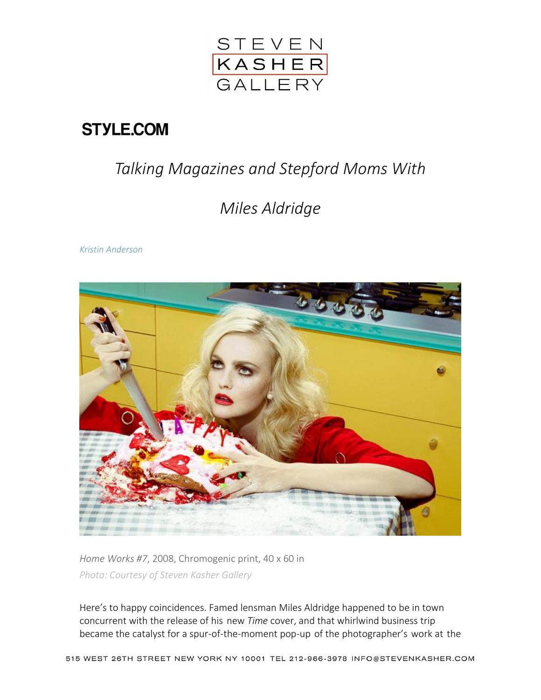

## **STYLE.COM**

## *Talking Magazines and Stepford Moms With*

## *Miles Aldridge*

*[Kristin Anderson](http://www.style.com/contributors/kristin-anderson)*



*Home Works #7*, 2008, Chromogenic print, 40 x 60 in *Photo: Courtesy of Steven Kasher Gallery*

Here's to happy coincidences. Famed lensman Miles Aldridge happened to be in town concurrent with the release of his new *Time* cover, and that whirlwind business trip became the catalyst for a spur-of-the-moment pop-up of the photographer's work at the

515 WEST 26TH STREET NEW YORK NY 10001 TEL 212-966-3978 INFO@STEVENKASHER.COM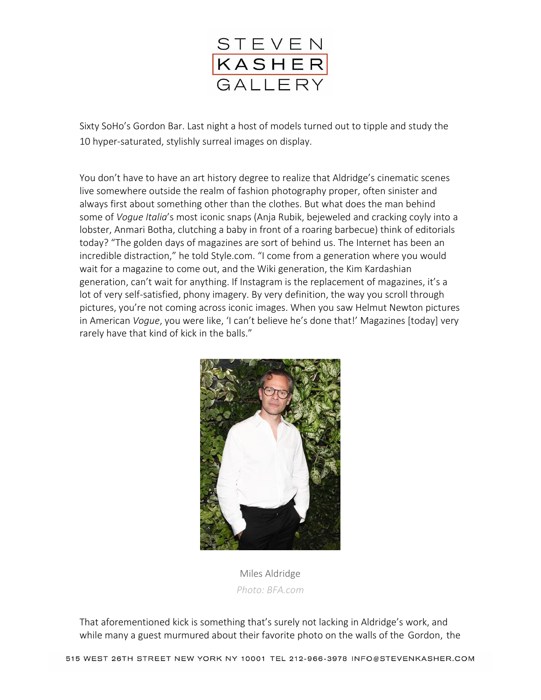

Sixty SoHo's Gordon Bar. Last night a host of models turned out to tipple and study the 10 hyper-saturated, stylishly surreal images on display.

You don't have to have an art history degree to realize that Aldridge's cinematic scenes live somewhere outside the realm of fashion photography proper, often sinister and always first about something other than the clothes. But what does the man behind some of *Vogue Italia*'s most iconic snaps (Anja Rubik, bejeweled and cracking coyly into a lobster, Anmari Botha, clutching a baby in front of a roaring barbecue) think of editorials today? "The golden days of magazines are sort of behind us. The Internet has been an incredible distraction," he told Style.com. "I come from a generation where you would wait for a magazine to come out, and the Wiki generation, the Kim Kardashian generation, can't wait for anything. If Instagram is the replacement of magazines, it's a lot of very self-satisfied, phony imagery. By very definition, the way you scroll through pictures, you're not coming across iconic images. When you saw Helmut Newton pictures in American *Vogue*, you were like, 'I can't believe he's done that!' Magazines [today] very rarely have that kind of kick in the balls."



Miles Aldridge *Photo: BFA.com*

That aforementioned kick is something that's surely not lacking in Aldridge's work, and while many a guest murmured about their favorite photo on the walls of the Gordon, the